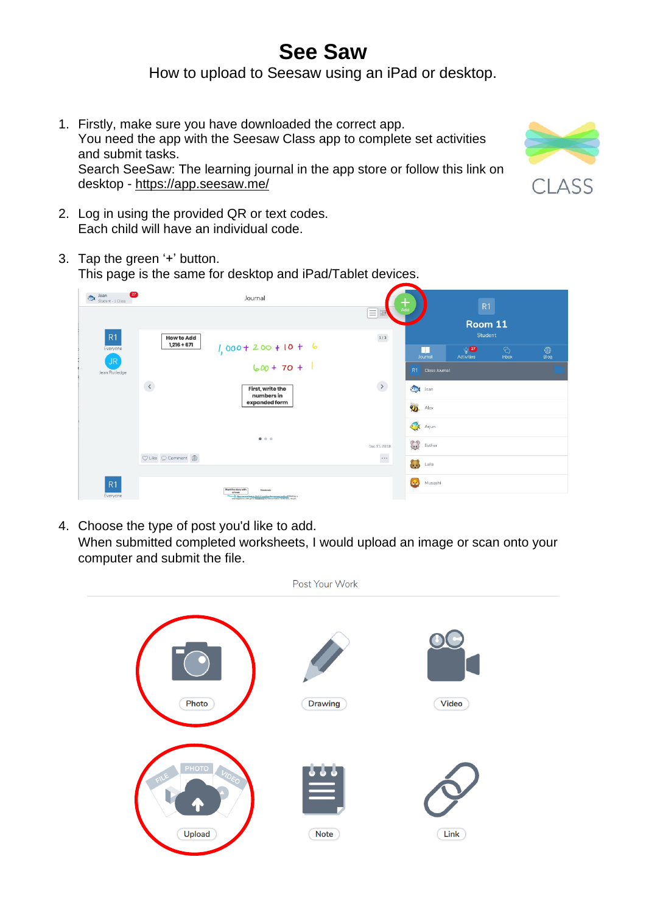## **See Saw** How to upload to Seesaw using an iPad or desktop.

1. Firstly, make sure you have downloaded the correct app. You need the app with the Seesaw Class app to complete set activities and submit tasks. Search SeeSaw: The learning journal in the app store or follow this link on desktop - <https://app.seesaw.me/>



- 2. Log in using the provided QR or text codes. Each child will have an individual code.
- 3. Tap the green '+' button. This page is the same for desktop and iPad/Tablet devices.



4. Choose the type of post you'd like to add. When submitted completed worksheets, I would upload an image or scan onto your computer and submit the file.

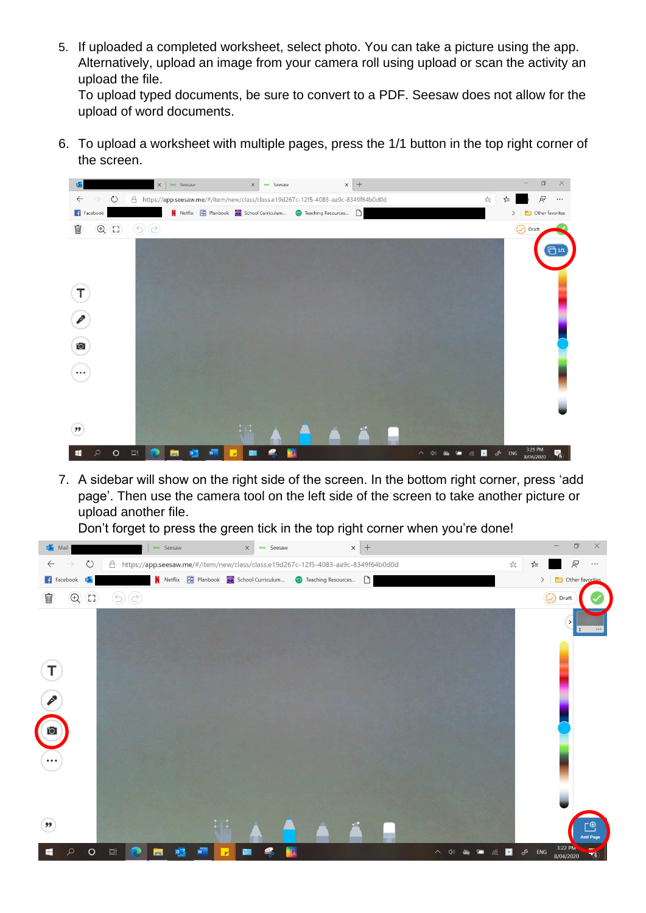5. If uploaded a completed worksheet, select photo. You can take a picture using the app. Alternatively, upload an image from your camera roll using upload or scan the activity an upload the file.

To upload typed documents, be sure to convert to a PDF. Seesaw does not allow for the upload of word documents.

6. To upload a worksheet with multiple pages, press the 1/1 button in the top right corner of the screen.



7. A sidebar will show on the right side of the screen. In the bottom right corner, press 'add page'. Then use the camera tool on the left side of the screen to take another picture or upload another file.

Don't forget to press the green tick in the top right corner when you're done!

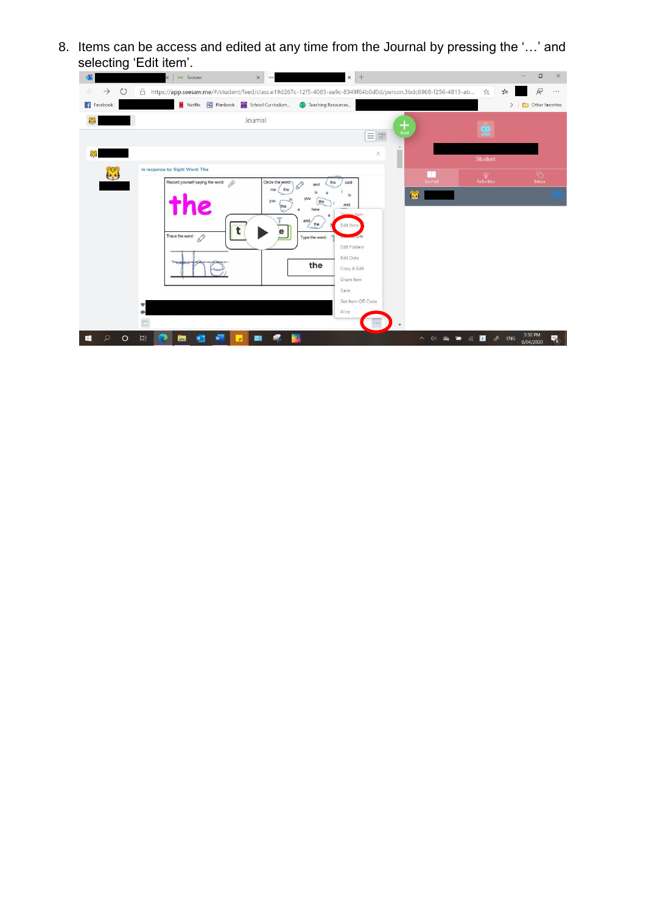8. Items can be access and edited at any time from the Journal by pressing the '…' and selecting 'Edit item'.